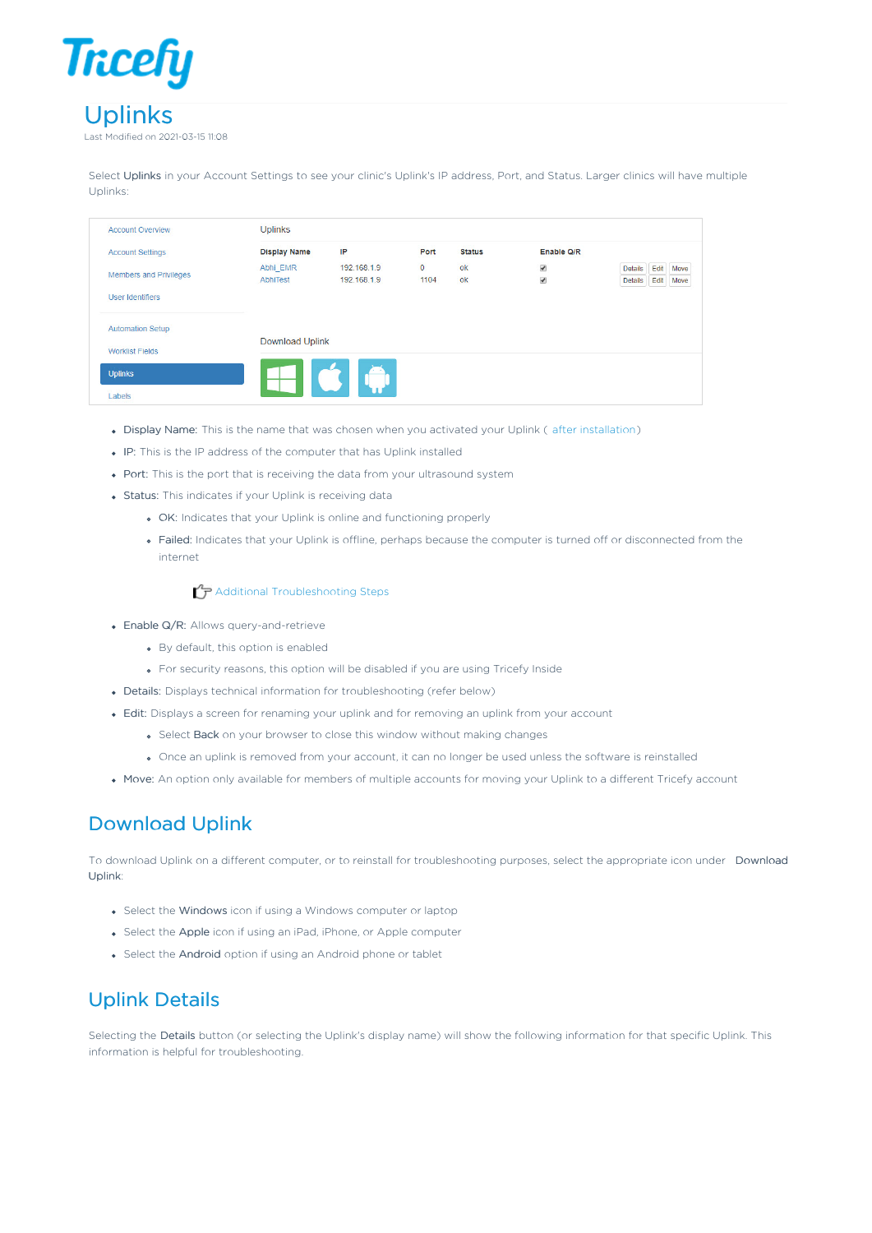

Select Uplinks in your Account Settings to see your clinic's Uplink's IP address, Port, and Status. Larger clinics will have multiple Uplinks:

| <b>Account Overview</b>       | <b>Uplinks</b>         |                            |                      |               |                                      |                                           |              |
|-------------------------------|------------------------|----------------------------|----------------------|---------------|--------------------------------------|-------------------------------------------|--------------|
| <b>Account Settings</b>       | <b>Display Name</b>    | IP                         | Port                 | <b>Status</b> | Enable Q/R                           |                                           |              |
| <b>Members and Privileges</b> | Abhi EMR<br>AbhiTest   | 192.168.1.9<br>192.168.1.9 | $\mathbf{0}$<br>1104 | ok<br>ok      | $\checkmark$<br>$\blacktriangledown$ | Edit<br><b>Details</b><br>Edit<br>Details | Move<br>Move |
| User Identifiers              |                        |                            |                      |               |                                      |                                           |              |
| <b>Automation Setup</b>       |                        |                            |                      |               |                                      |                                           |              |
| <b>Worklist Fields</b>        | <b>Download Uplink</b> |                            |                      |               |                                      |                                           |              |
| <b>Uplinks</b>                |                        | $\sim$                     |                      |               |                                      |                                           |              |
| Labels                        |                        |                            |                      |               |                                      |                                           |              |

- Display Name: This is the name that was chosen when you activated your Uplink ( after installation)
- IP: This is the IP address of the computer that has Uplink installed
- Port: This is the port that is receiving the data from your ultrasound system
- Status: This indicates if your Uplink is receiving data
	- OK: Indicates that your Uplink is online and functioning properly
	- Failed: Indicates that your Uplink is offline, perhaps because the computer is turned off or disconnected from the internet

## $\mathcal{T}_\mathbf{P}$  Additional Troubleshooting Steps

- Enable Q/R: Allows query-and-retrieve
	- By default, this option is enabled
	- For security reasons, this option will be disabled if you are using Tricefy Inside
- Details: Displays technical information for troubleshooting (refer below)
- Edit: Displays a screen for renaming your uplink and for removing an uplink from your account
	- **Select Back** on your browser to close this window without making changes
	- Once an uplink is removed from your account, it can no longer be used unless the software is reinstalled
- Move: An option only available for members of multiple accounts for moving your Uplink to a different Tricefy account

## Download Uplink

To download Uplink on a different computer, or to reinstall for troubleshooting purposes, select the appropriate icon under Download Uplink:

- Select the Windows icon if using a Windows computer or laptop
- Select the Apple icon if using an iPad, iPhone, or Apple computer
- Select the Android option if using an Android phone or tablet

## Uplink Details

Selecting the Details button (or selecting the Uplink's display name) will show the following information for that specific Uplink. This information is helpful for troubleshooting.